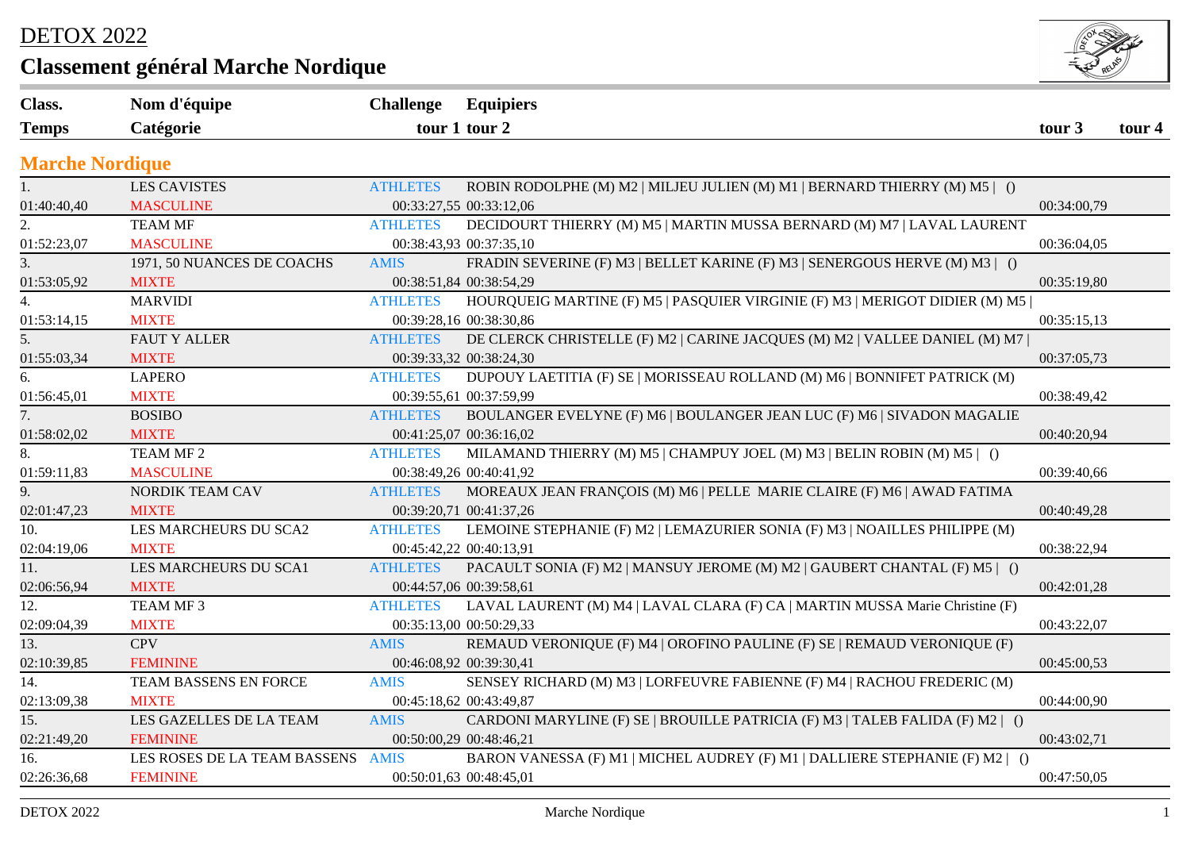## DETOX 2022

## **Classement général Marche Nordique**



| Nom d'équipe               |                        |                                                                               |                                                                                                                                                                                                                                                                                                                                                                                                                                                                                                                                                                             |        |
|----------------------------|------------------------|-------------------------------------------------------------------------------|-----------------------------------------------------------------------------------------------------------------------------------------------------------------------------------------------------------------------------------------------------------------------------------------------------------------------------------------------------------------------------------------------------------------------------------------------------------------------------------------------------------------------------------------------------------------------------|--------|
| Catégorie                  |                        |                                                                               |                                                                                                                                                                                                                                                                                                                                                                                                                                                                                                                                                                             | tour 4 |
|                            |                        |                                                                               |                                                                                                                                                                                                                                                                                                                                                                                                                                                                                                                                                                             |        |
| <b>LES CAVISTES</b>        | <b>ATHLETES</b>        | ROBIN RODOLPHE (M) M2   MILJEU JULIEN (M) M1   BERNARD THIERRY (M) M5   ()    |                                                                                                                                                                                                                                                                                                                                                                                                                                                                                                                                                                             |        |
| <b>MASCULINE</b>           |                        |                                                                               | 00:34:00,79                                                                                                                                                                                                                                                                                                                                                                                                                                                                                                                                                                 |        |
| <b>TEAM MF</b>             | <b>ATHLETES</b>        | DECIDOURT THIERRY (M) M5   MARTIN MUSSA BERNARD (M) M7   LAVAL LAURENT        |                                                                                                                                                                                                                                                                                                                                                                                                                                                                                                                                                                             |        |
| <b>MASCULINE</b>           |                        |                                                                               | 00:36:04,05                                                                                                                                                                                                                                                                                                                                                                                                                                                                                                                                                                 |        |
| 1971, 50 NUANCES DE COACHS | <b>AMIS</b>            | FRADIN SEVERINE (F) M3   BELLET KARINE (F) M3   SENERGOUS HERVE (M) M3   ()   |                                                                                                                                                                                                                                                                                                                                                                                                                                                                                                                                                                             |        |
| <b>MIXTE</b>               |                        |                                                                               | 00:35:19,80                                                                                                                                                                                                                                                                                                                                                                                                                                                                                                                                                                 |        |
| <b>MARVIDI</b>             | <b>ATHLETES</b>        | HOURQUEIG MARTINE (F) M5   PASQUIER VIRGINIE (F) M3   MERIGOT DIDIER (M) M5   |                                                                                                                                                                                                                                                                                                                                                                                                                                                                                                                                                                             |        |
| <b>MIXTE</b>               |                        |                                                                               | 00:35:15,13                                                                                                                                                                                                                                                                                                                                                                                                                                                                                                                                                                 |        |
| <b>FAUT Y ALLER</b>        | <b>ATHLETES</b>        | DE CLERCK CHRISTELLE (F) M2   CARINE JACQUES (M) M2   VALLEE DANIEL (M) M7    |                                                                                                                                                                                                                                                                                                                                                                                                                                                                                                                                                                             |        |
| <b>MIXTE</b>               |                        |                                                                               | 00:37:05,73                                                                                                                                                                                                                                                                                                                                                                                                                                                                                                                                                                 |        |
| <b>LAPERO</b>              | <b>ATHLETES</b>        | DUPOUY LAETITIA (F) SE   MORISSEAU ROLLAND (M) M6   BONNIFET PATRICK (M)      |                                                                                                                                                                                                                                                                                                                                                                                                                                                                                                                                                                             |        |
| <b>MIXTE</b>               |                        |                                                                               | 00:38:49,42                                                                                                                                                                                                                                                                                                                                                                                                                                                                                                                                                                 |        |
| <b>BOSIBO</b>              | <b>ATHLETES</b>        | BOULANGER EVELYNE (F) M6   BOULANGER JEAN LUC (F) M6   SIVADON MAGALIE        |                                                                                                                                                                                                                                                                                                                                                                                                                                                                                                                                                                             |        |
| <b>MIXTE</b>               |                        |                                                                               | 00:40:20,94                                                                                                                                                                                                                                                                                                                                                                                                                                                                                                                                                                 |        |
| TEAM MF <sub>2</sub>       | <b>ATHLETES</b>        | MILAMAND THIERRY (M) M5   CHAMPUY JOEL (M) M3   BELIN ROBIN (M) M5   ()       |                                                                                                                                                                                                                                                                                                                                                                                                                                                                                                                                                                             |        |
| <b>MASCULINE</b>           |                        |                                                                               | 00:39:40,66                                                                                                                                                                                                                                                                                                                                                                                                                                                                                                                                                                 |        |
| NORDIK TEAM CAV            | <b>ATHLETES</b>        | MOREAUX JEAN FRANÇOIS (M) M6   PELLE MARIE CLAIRE (F) M6   AWAD FATIMA        |                                                                                                                                                                                                                                                                                                                                                                                                                                                                                                                                                                             |        |
| <b>MIXTE</b>               |                        |                                                                               | 00:40:49,28                                                                                                                                                                                                                                                                                                                                                                                                                                                                                                                                                                 |        |
| LES MARCHEURS DU SCA2      | <b>ATHLETES</b>        | LEMOINE STEPHANIE (F) M2   LEMAZURIER SONIA (F) M3   NOAILLES PHILIPPE (M)    |                                                                                                                                                                                                                                                                                                                                                                                                                                                                                                                                                                             |        |
| <b>MIXTE</b>               |                        |                                                                               | 00:38:22,94                                                                                                                                                                                                                                                                                                                                                                                                                                                                                                                                                                 |        |
| LES MARCHEURS DU SCA1      | <b>ATHLETES</b>        | PACAULT SONIA (F) M2   MANSUY JEROME (M) M2   GAUBERT CHANTAL (F) M5   ()     |                                                                                                                                                                                                                                                                                                                                                                                                                                                                                                                                                                             |        |
| <b>MIXTE</b>               |                        |                                                                               | 00:42:01,28                                                                                                                                                                                                                                                                                                                                                                                                                                                                                                                                                                 |        |
| TEAM MF3                   | <b>ATHLETES</b>        |                                                                               |                                                                                                                                                                                                                                                                                                                                                                                                                                                                                                                                                                             |        |
| <b>MIXTE</b>               |                        |                                                                               | 00:43:22,07                                                                                                                                                                                                                                                                                                                                                                                                                                                                                                                                                                 |        |
| <b>CPV</b>                 | <b>AMIS</b>            | REMAUD VERONIQUE (F) M4   OROFINO PAULINE (F) SE   REMAUD VERONIQUE (F)       |                                                                                                                                                                                                                                                                                                                                                                                                                                                                                                                                                                             |        |
| <b>FEMININE</b>            |                        |                                                                               | 00:45:00,53                                                                                                                                                                                                                                                                                                                                                                                                                                                                                                                                                                 |        |
| TEAM BASSENS EN FORCE      | <b>AMIS</b>            | SENSEY RICHARD (M) M3   LORFEUVRE FABIENNE (F) M4   RACHOU FREDERIC (M)       |                                                                                                                                                                                                                                                                                                                                                                                                                                                                                                                                                                             |        |
| <b>MIXTE</b>               |                        |                                                                               | 00:44:00,90                                                                                                                                                                                                                                                                                                                                                                                                                                                                                                                                                                 |        |
| LES GAZELLES DE LA TEAM    | <b>AMIS</b>            | CARDONI MARYLINE (F) SE   BROUILLE PATRICIA (F) M3   TALEB FALIDA (F) M2   () |                                                                                                                                                                                                                                                                                                                                                                                                                                                                                                                                                                             |        |
| <b>FEMININE</b>            |                        |                                                                               | 00:43:02,71                                                                                                                                                                                                                                                                                                                                                                                                                                                                                                                                                                 |        |
|                            |                        | BARON VANESSA (F) M1   MICHEL AUDREY (F) M1   DALLIERE STEPHANIE (F) M2   ()  |                                                                                                                                                                                                                                                                                                                                                                                                                                                                                                                                                                             |        |
| <b>FEMININE</b>            |                        |                                                                               | 00:47:50,05                                                                                                                                                                                                                                                                                                                                                                                                                                                                                                                                                                 |        |
|                            | <b>Marche Nordique</b> | LES ROSES DE LA TEAM BASSENS AMIS                                             | <b>Challenge Equipiers</b><br>tour 1 tour 2<br>00:33:27,55 00:33:12,06<br>00:38:43,93 00:37:35,10<br>00:38:51,84 00:38:54,29<br>00:39:28,16 00:38:30,86<br>00:39:33,32 00:38:24,30<br>00:39:55,61 00:37:59,99<br>00:41:25,07 00:36:16,02<br>00:38:49,26 00:40:41,92<br>00:39:20,71 00:41:37,26<br>00:45:42,22 00:40:13,91<br>00:44:57,06 00:39:58,61<br>LAVAL LAURENT (M) M4   LAVAL CLARA (F) CA   MARTIN MUSSA Marie Christine (F)<br>00:35:13,00 00:50:29,33<br>00:46:08,92 00:39:30,41<br>00:45:18,62 00:43:49,87<br>00:50:00,29 00:48:46,21<br>00:50:01,63 00:48:45,01 | tour 3 |